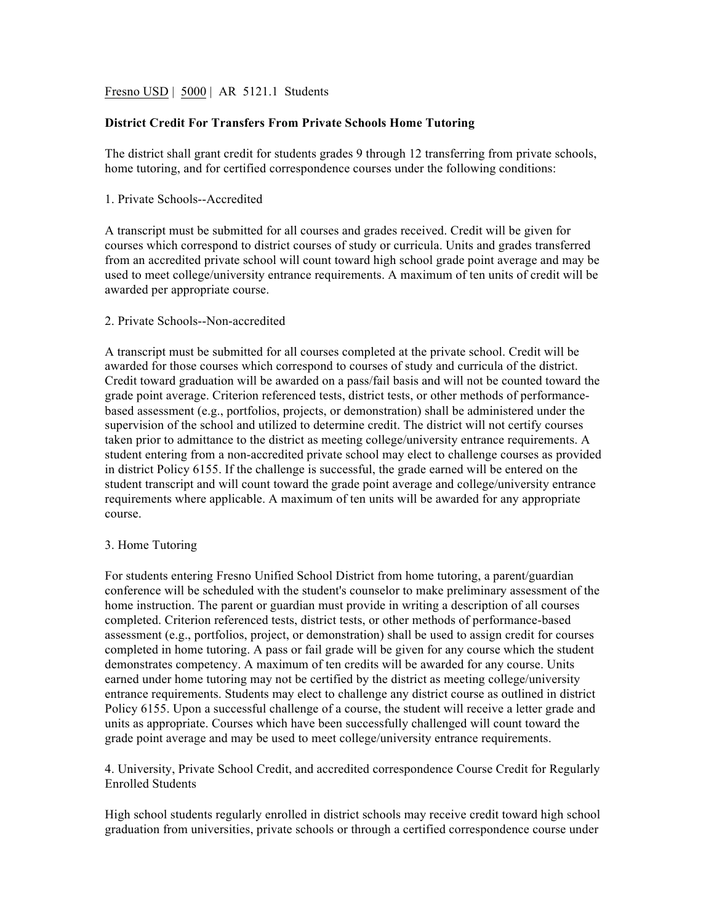Fresno USD | 5000 | AR 5121.1 Students

# **District Credit For Transfers From Private Schools Home Tutoring**

The district shall grant credit for students grades 9 through 12 transferring from private schools, home tutoring, and for certified correspondence courses under the following conditions:

## 1. Private Schools--Accredited

A transcript must be submitted for all courses and grades received. Credit will be given for courses which correspond to district courses of study or curricula. Units and grades transferred from an accredited private school will count toward high school grade point average and may be used to meet college/university entrance requirements. A maximum of ten units of credit will be awarded per appropriate course.

# 2. Private Schools--Non-accredited

A transcript must be submitted for all courses completed at the private school. Credit will be awarded for those courses which correspond to courses of study and curricula of the district. Credit toward graduation will be awarded on a pass/fail basis and will not be counted toward the grade point average. Criterion referenced tests, district tests, or other methods of performancebased assessment (e.g., portfolios, projects, or demonstration) shall be administered under the supervision of the school and utilized to determine credit. The district will not certify courses taken prior to admittance to the district as meeting college/university entrance requirements. A student entering from a non-accredited private school may elect to challenge courses as provided in district Policy 6155. If the challenge is successful, the grade earned will be entered on the student transcript and will count toward the grade point average and college/university entrance requirements where applicable. A maximum of ten units will be awarded for any appropriate course.

## 3. Home Tutoring

For students entering Fresno Unified School District from home tutoring, a parent/guardian conference will be scheduled with the student's counselor to make preliminary assessment of the home instruction. The parent or guardian must provide in writing a description of all courses completed. Criterion referenced tests, district tests, or other methods of performance-based assessment (e.g., portfolios, project, or demonstration) shall be used to assign credit for courses completed in home tutoring. A pass or fail grade will be given for any course which the student demonstrates competency. A maximum of ten credits will be awarded for any course. Units earned under home tutoring may not be certified by the district as meeting college/university entrance requirements. Students may elect to challenge any district course as outlined in district Policy 6155. Upon a successful challenge of a course, the student will receive a letter grade and units as appropriate. Courses which have been successfully challenged will count toward the grade point average and may be used to meet college/university entrance requirements.

4. University, Private School Credit, and accredited correspondence Course Credit for Regularly Enrolled Students

High school students regularly enrolled in district schools may receive credit toward high school graduation from universities, private schools or through a certified correspondence course under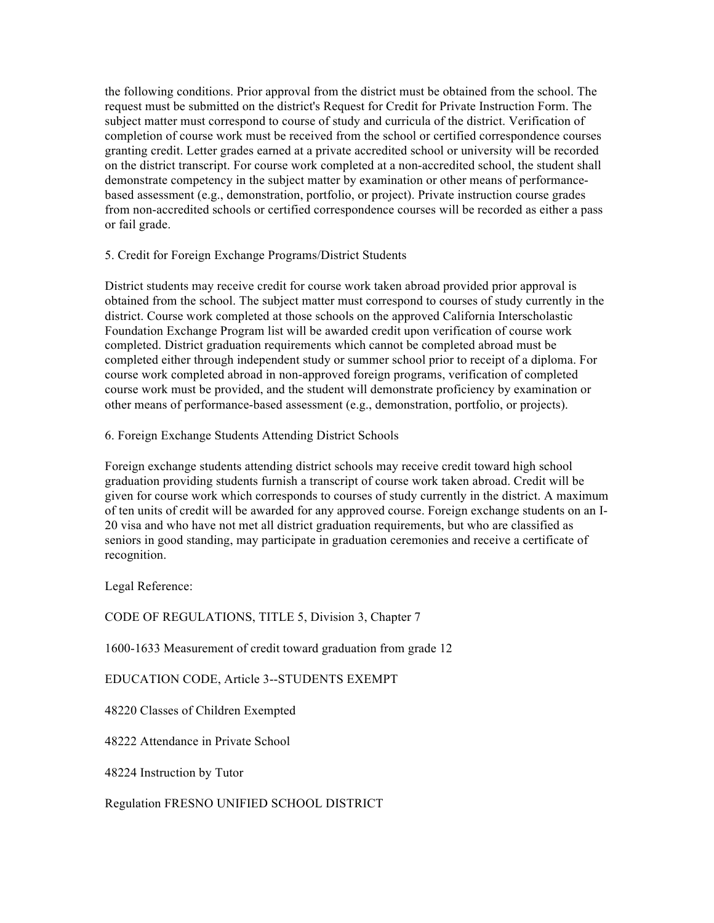the following conditions. Prior approval from the district must be obtained from the school. The request must be submitted on the district's Request for Credit for Private Instruction Form. The subject matter must correspond to course of study and curricula of the district. Verification of completion of course work must be received from the school or certified correspondence courses granting credit. Letter grades earned at a private accredited school or university will be recorded on the district transcript. For course work completed at a non-accredited school, the student shall demonstrate competency in the subject matter by examination or other means of performancebased assessment (e.g., demonstration, portfolio, or project). Private instruction course grades from non-accredited schools or certified correspondence courses will be recorded as either a pass or fail grade.

## 5. Credit for Foreign Exchange Programs/District Students

District students may receive credit for course work taken abroad provided prior approval is obtained from the school. The subject matter must correspond to courses of study currently in the district. Course work completed at those schools on the approved California Interscholastic Foundation Exchange Program list will be awarded credit upon verification of course work completed. District graduation requirements which cannot be completed abroad must be completed either through independent study or summer school prior to receipt of a diploma. For course work completed abroad in non-approved foreign programs, verification of completed course work must be provided, and the student will demonstrate proficiency by examination or other means of performance-based assessment (e.g., demonstration, portfolio, or projects).

## 6. Foreign Exchange Students Attending District Schools

Foreign exchange students attending district schools may receive credit toward high school graduation providing students furnish a transcript of course work taken abroad. Credit will be given for course work which corresponds to courses of study currently in the district. A maximum of ten units of credit will be awarded for any approved course. Foreign exchange students on an I-20 visa and who have not met all district graduation requirements, but who are classified as seniors in good standing, may participate in graduation ceremonies and receive a certificate of recognition.

Legal Reference:

CODE OF REGULATIONS, TITLE 5, Division 3, Chapter 7

1600-1633 Measurement of credit toward graduation from grade 12

EDUCATION CODE, Article 3--STUDENTS EXEMPT

48220 Classes of Children Exempted

48222 Attendance in Private School

48224 Instruction by Tutor

Regulation FRESNO UNIFIED SCHOOL DISTRICT